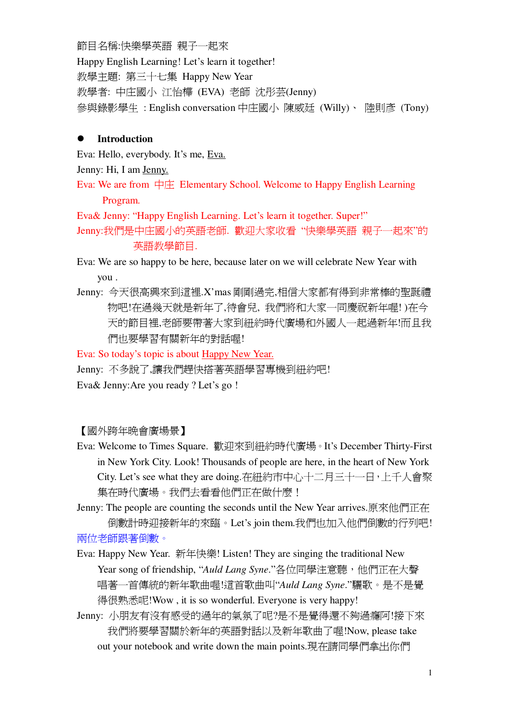節目名稱:快樂學英語 親子一起來 Happy English Learning! Let's learn it together! 教學主題: 第三十七集 Happy New Year 教學者: 中庄國小 江怡樺 (EVA) 老師 沈彤芸(Jenny) 參與錄影學生: English conversation 中庄國小 陳威廷 (Willy)、 陸則彥 (Tony)

### **Introduction**

Eva: Hello, everybody. It's me, Eva.

Jenny: Hi, I am Jenny.

Eva: We are from  $\Box \nabla \psi$  Elementary School. Welcome to Happy English Learning Program.

Eva& Jenny: "Happy English Learning. Let's learn it together. Super!"

Jenny:我們是中庄國小的英語老師. 歡迎大家收看"快樂學英語 親子一起來"的 英語教學節目.

Eva: We are so happy to be here, because later on we will celebrate New Year with you .

Jenny: 今天很高興來到這裡.X'mas 剛剛過完,相信大家都有得到非常棒的聖誕禮 物吧!在過幾天就是新年了,待會兒, 我們將和大家一同慶祝新年喔! )在今 天的節目裡,老師要帶著大家到紐約時代廣場和外國人一起過新年!而且我 們也要學習有關新年的對話喔!

Eva: So today's topic is about Happy New Year.

Jenny: 不多說了,讓我們趕快搭著英語學習專機到紐約吧!

Eva& Jenny:Are you ready ? Let's go !

【國外跨年晚會廣場景】

Eva: Welcome to Times Square. 歡迎來到紐約時代廣場。It's December Thirty-First in New York City. Look! Thousands of people are here, in the heart of New York City. Let's see what they are doing.在紐約市中心十二月三十一日,上千人會聚 集在時代廣場。我們去看看他們正在做什麼!

Jenny: The people are counting the seconds until the New Year arrives.原來他們正在 倒數計時迎接新年的來臨。Let's join them.我們也加入他們倒數的行列吧! 兩位老師跟著倒數。

- Eva: Happy New Year. 新年快樂! Listen! They are singing the traditional New Year song of friendship, "Auld *Lang Syne*."各位同學注意聽, 他們正在大聲 唱著一首傳統的新年歌曲喔!這首歌曲叫"Auld Lang Syne."驪歌。是不是覺 得很熟悉呢!Wow, it is so wonderful. Everyone is very happy!
- Jenny: 小朋友有沒有感受的過年的氣氛了呢?是不是覺得還不夠過癮阿!接下來 我們將要學習關於新年的英語對話以及新年歌曲了喔!Now, please take out your notebook and write down the main points.現在請同學們拿出你們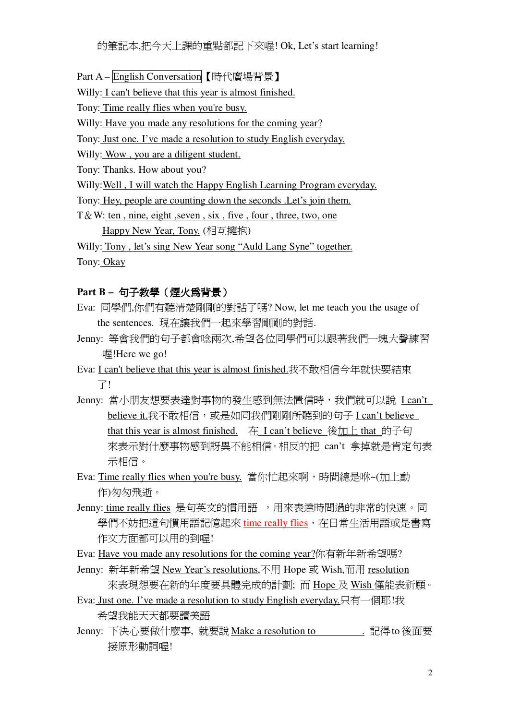- Part A-English Conversation 【時代廣場背景】
- Willy: I can't believe that this year is almost finished.
- Tony: Time really flies when you're busy.
- Willy: Have you made any resolutions for the coming year?
- Tony: Just one. I've made a resolution to study English everyday.
- Willy: Wow, you are a diligent student.
- Tony: Thanks. How about you?
- Willy: Well, I will watch the Happy English Learning Program everyday.
- Tony: Hey, people are counting down the seconds . Let's join them.
- $T & W$ : ten, nine, eight, seven, six, five, four, three, two, one
	- Happy New Year, Tony. (相互擁抱)

Willy: Tony, let's sing New Year song "Auld Lang Syne" together. Tony: Okay

#### Part B- 句子教學 (煙火爲背景)

- Eva: 同學們,你們有聽清楚剛剛的對話了嗎? Now, let me teach you the usage of the sentences. 現在讓我們一起來學習剛剛的對話.
- Jenny: 等會我們的句子都會唸兩次,希望各位同學們可以跟著我們一塊大聲練習 喔!Here we go!
- Eva: I can't believe that this year is almost finished.我不敢相信今年就快要結束 了!
- Jenny: 當小朋友想要表達對事物的發生感到無法置信時,我們就可以說 I can't believe it.我不敢相信,或是如同我們剛剛所聽到的句子 I can't believe that this year is almost finished. 在 I can't believe 後加上 that 的子句 來表示對什麼事物感到訝異不能相信。相反的把 can't 拿掉就是肯定句表 示相信。
- Eva: Time really flies when you're busy. 當你忙起來啊,時間總是咻~(加上動 作)匆匆飛浙。
- Jenny: time really flies 是句英文的慣用語,用來表達時間過的非常的快速。同 學們不妨把這句慣用語記憶起來 time really flies, 在日常生活用語或是書寫 作文方面都可以用的到喔!
- Eva: Have you made any resolutions for the coming year?你有新年新希望嗎?
- Jenny: 新年新希望 New Year's resolutions,不用 Hope 或 Wish,而用 resolution 來表現想要在新的年度要具體完成的計劃;而 Hope 及 Wish 僅能表祈願。
- Eva: Just one. I've made a resolution to study English everyday.只有一個耶!我 希望我能天天都要讀美語
- Jenny: 下決心要做什麼事, 就要說 Make a resolution to . 記得 to 後面要 接原形動詞喔!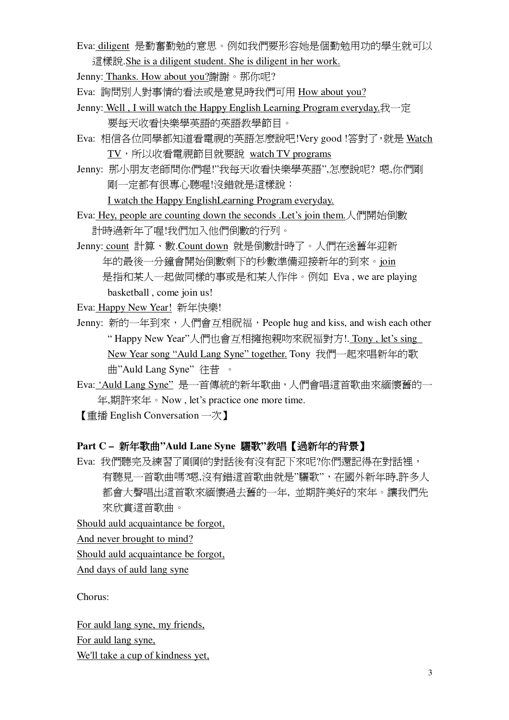Eva: diligent 是勤奮勤勉的意思。例如我們要形容她是個勤勉用功的學生就可以 這樣說.She is a diligent student. She is diligent in her work.

Jenny: Thanks. How about you?謝謝。那你呢?

Eva: 詢問別人對事情的看法或是意見時我們可用 How about you?

- Jenny: Well, I will watch the Happy English Learning Program everyday.  $\pm \pm \pm \frac{1}{2}$ 要每天收看快樂學英語的英語教學節目。
- Eva: 相信各位同學都知道看雷視的英語怎麼說吧!Very good !答對了,就是 Watch TV, 所以收看電視節目就要說 watch TV programs
- Jenny: 那小朋友老師問你們喔!"我每天收看快樂學英語",怎麼說呢? 嗯,你們剛 剛一定都有很專心聽喔!沒錯就是這樣說:

I watch the Happy EnglishLearning Program everyday.

Eva: Hey, people are counting down the seconds .Let's join them. 人們開始倒數 計時渦新年了喔!我們加入他們倒數的行列。

Jenny: count 計算、數.Count down 就是倒數計時了。人們在送舊年迎新 年的最後一分鐘會開始倒數剩下的秒數進備迎接新年的到來。join 是指和某人一起做同樣的事或是和某人作伴。例如 Eva, we are playing basketball , come join us!

Eva: Happy New Year! 新年快樂!

- Jenny: 新的一年到來, 人們會互相祝福, People hug and kiss, and wish each other "Happy New Year"人們也會互相擁抱親吻來祝福對方!. Tony, let's sing New Year song "Auld Lang Syne" together. Tony 我們一起來唱新年的歌 曲"Auld Lang Syne" 往昔 。
- Eva: 'Auld Lang Syne" 是一首傳統的新年歌曲, 人們會唱這首歌曲來緬懷舊的一 ڣ,ཚڣࠐΖNow , let's practice one more time.

【 重播 English Conversation 一次 】

# **Part C - 新年歌曲"Auld Lane Syne 驪歌"教唱【過新年的背景】**

Eva: 我們聽完及練習了剛剛的對話後有沒有記下來呢?你們還記得在對話裡, 有聽見一首歌曲嗎?嗯,沒有錯這首歌曲就是"驪歌", 在國外新年時,許多人 都會大聲唱出這首歌來緬懷過去舊的一年,並期許美好的來年。讓我們先 來欣賞這首歌曲。

Should auld acquaintance be forgot,

And never brought to mind?

Should auld acquaintance be forgot,

And days of auld lang syne

Chorus:

For auld lang syne, my friends, For auld lang syne, We'll take a cup of kindness yet.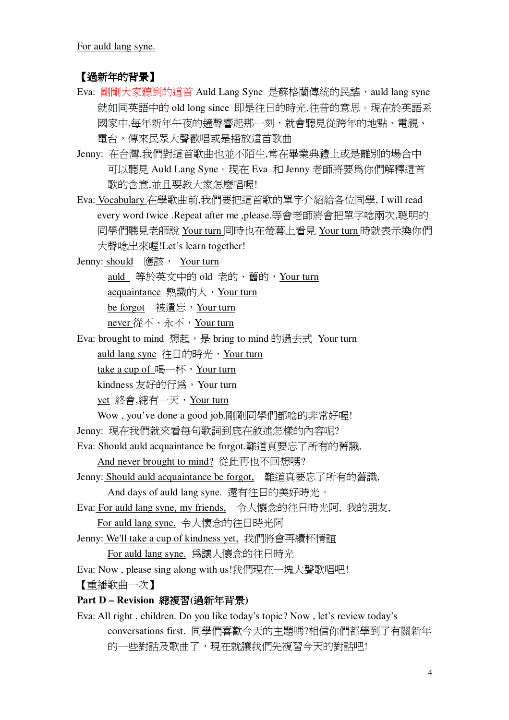For auld lang syne.

# 【過新年的背景】

- Eva: 剛剛大家聽到的這首 Auld Lang Syne 是蘇格蘭傳統的民謠, auld lang syne 就如同英語中的 old long since 即是往日的時光,往昔的意思。現在於英語系 國家中,每年新年午夜的鐘聲響起那一刻,就會聽見從跨年的地點、電視、 雷台, 傳來民眾大聲歡唱或是播放這首歌曲
- Jenny: 在台灣,我們對這首歌曲也並不陌生,常在畢業典禮上或是離別的場合中 可以聽見 Auld Lang Syne。現在 Eva 和 Jenny 老師將要爲你們解釋這首 歌的含意,並且要教大家怎麼唱喔!
- Eva: Vocabulary 在學歌曲前,我們要把這首歌的單字介紹給各位同學, I will read every word twice .Repeat after me ,please.等會老師將會把單字唸兩次,聰明的 同學們聽見老師說 Your turn 同時也在螢幕上看見 Your turn 時就表示換你們 大聲唸出來喔!Let's learn together!

Jenny: should 應該, Your turn auld 等於英文中的 old 老的、舊的, Your turn acquaintance 熟識的人, Your turn be forgot 被潰忘, Your turn never 從不、永不,Your turn

Eva: brought to mind 想起, 是 bring to mind 的過去式 Your turn auld lang syne 往日的時光, Your turn take a cup of 喝一杯, Your turn

kindness 友好的行為, Your turn

vet 終會,總有一天, Your turn

Wow, you've done a good job.剛剛同學們都唸的非常好喔!

Jenny: 現在我們就來看每句歌詞到底在敘述怎樣的內容呢?

Eva: Should auld acquaintance be forgot. 難道真要忘了所有的舊識,

And never brought to mind? 從此再也不回想嗎?

Jenny: Should auld acquaintance be forgot, 難道真要忘了所有的舊識,

And days of auld lang syne. 還有往日的美好時光。

- Eva: For auld lang syne, my friends, 令人懷念的往日時光阿, 我的朋友, For auld lang syne. 令人懷念的往日時光阿
- Jenny: We'll take a cup of kindness yet, 我們將會再續杯情誼

For auld lang syne. 為讓人懷念的往日時光

Eva: Now, please sing along with us!我們現在一塊大聲歌唱吧!

【重播歌曲一次】

# Part D - Revision 總複習(過新年背景)

Eva: All right, children. Do you like today's topic? Now, let's review today's conversations first. 同學們喜歡今天的主題嗎?相信你們都學到了有關新年 的一些對話及歌曲了,現在就讓我們先複習今天的對話吧!